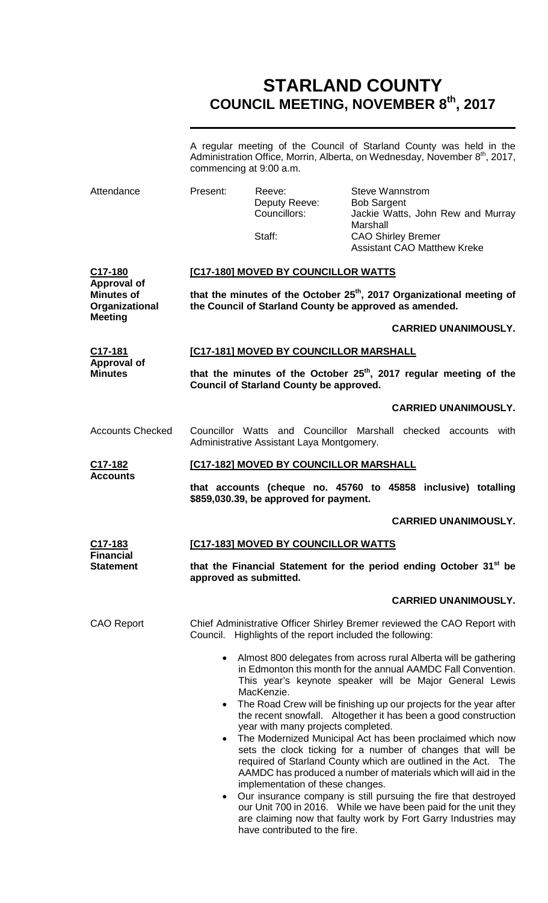## **STARLAND COUNTY COUNCIL MEETING, NOVEMBER 8th, 2017**

|                                                                                        | A regular meeting of the Council of Starland County was held in the<br>Administration Office, Morrin, Alberta, on Wednesday, November 8 <sup>th</sup> , 2017,<br>commencing at 9:00 a.m.                                                                                                                                                                                                                                                                                                                                                                                                                                                                                                                                        |                                                   |                                                                                                                             |                                   |  |
|----------------------------------------------------------------------------------------|---------------------------------------------------------------------------------------------------------------------------------------------------------------------------------------------------------------------------------------------------------------------------------------------------------------------------------------------------------------------------------------------------------------------------------------------------------------------------------------------------------------------------------------------------------------------------------------------------------------------------------------------------------------------------------------------------------------------------------|---------------------------------------------------|-----------------------------------------------------------------------------------------------------------------------------|-----------------------------------|--|
| Attendance                                                                             | Present:                                                                                                                                                                                                                                                                                                                                                                                                                                                                                                                                                                                                                                                                                                                        | Reeve:<br>Deputy Reeve:<br>Councillors:<br>Staff: | <b>Steve Wannstrom</b><br><b>Bob Sargent</b><br>Marshall<br><b>CAO Shirley Bremer</b><br><b>Assistant CAO Matthew Kreke</b> | Jackie Watts, John Rew and Murray |  |
| C17-180<br><b>Approval of</b><br><b>Minutes of</b><br>Organizational<br><b>Meeting</b> | [C17-180] MOVED BY COUNCILLOR WATTS                                                                                                                                                                                                                                                                                                                                                                                                                                                                                                                                                                                                                                                                                             |                                                   |                                                                                                                             |                                   |  |
|                                                                                        | that the minutes of the October 25 <sup>th</sup> , 2017 Organizational meeting of<br>the Council of Starland County be approved as amended.                                                                                                                                                                                                                                                                                                                                                                                                                                                                                                                                                                                     |                                                   |                                                                                                                             |                                   |  |
|                                                                                        |                                                                                                                                                                                                                                                                                                                                                                                                                                                                                                                                                                                                                                                                                                                                 |                                                   |                                                                                                                             | <b>CARRIED UNANIMOUSLY.</b>       |  |
| C17-181                                                                                | [C17-181] MOVED BY COUNCILLOR MARSHALL                                                                                                                                                                                                                                                                                                                                                                                                                                                                                                                                                                                                                                                                                          |                                                   |                                                                                                                             |                                   |  |
| <b>Approval of</b><br><b>Minutes</b>                                                   | that the minutes of the October 25 <sup>th</sup> , 2017 regular meeting of the<br><b>Council of Starland County be approved.</b>                                                                                                                                                                                                                                                                                                                                                                                                                                                                                                                                                                                                |                                                   |                                                                                                                             |                                   |  |
|                                                                                        |                                                                                                                                                                                                                                                                                                                                                                                                                                                                                                                                                                                                                                                                                                                                 |                                                   |                                                                                                                             | <b>CARRIED UNANIMOUSLY.</b>       |  |
| <b>Accounts Checked</b>                                                                | Councillor Watts and Councillor Marshall checked accounts with<br>Administrative Assistant Laya Montgomery.                                                                                                                                                                                                                                                                                                                                                                                                                                                                                                                                                                                                                     |                                                   |                                                                                                                             |                                   |  |
| C <sub>17</sub> -182                                                                   | [C17-182] MOVED BY COUNCILLOR MARSHALL                                                                                                                                                                                                                                                                                                                                                                                                                                                                                                                                                                                                                                                                                          |                                                   |                                                                                                                             |                                   |  |
| <b>Accounts</b>                                                                        | that accounts (cheque no. 45760 to 45858 inclusive) totalling<br>\$859,030.39, be approved for payment.                                                                                                                                                                                                                                                                                                                                                                                                                                                                                                                                                                                                                         |                                                   |                                                                                                                             |                                   |  |
|                                                                                        |                                                                                                                                                                                                                                                                                                                                                                                                                                                                                                                                                                                                                                                                                                                                 |                                                   |                                                                                                                             | <b>CARRIED UNANIMOUSLY.</b>       |  |
| C17-183<br><b>Financial</b><br><b>Statement</b>                                        | [C17-183] MOVED BY COUNCILLOR WATTS                                                                                                                                                                                                                                                                                                                                                                                                                                                                                                                                                                                                                                                                                             |                                                   |                                                                                                                             |                                   |  |
|                                                                                        | that the Financial Statement for the period ending October 31 <sup>st</sup> be<br>approved as submitted.                                                                                                                                                                                                                                                                                                                                                                                                                                                                                                                                                                                                                        |                                                   |                                                                                                                             |                                   |  |
|                                                                                        |                                                                                                                                                                                                                                                                                                                                                                                                                                                                                                                                                                                                                                                                                                                                 |                                                   |                                                                                                                             | <b>CARRIED UNANIMOUSLY.</b>       |  |
| <b>CAO Report</b>                                                                      | Chief Administrative Officer Shirley Bremer reviewed the CAO Report with<br>Council. Highlights of the report included the following:                                                                                                                                                                                                                                                                                                                                                                                                                                                                                                                                                                                           |                                                   |                                                                                                                             |                                   |  |
|                                                                                        | Almost 800 delegates from across rural Alberta will be gathering<br>$\bullet$<br>in Edmonton this month for the annual AAMDC Fall Convention.<br>This year's keynote speaker will be Major General Lewis<br>MacKenzie.                                                                                                                                                                                                                                                                                                                                                                                                                                                                                                          |                                                   |                                                                                                                             |                                   |  |
|                                                                                        | The Road Crew will be finishing up our projects for the year after<br>$\bullet$<br>the recent snowfall. Altogether it has been a good construction<br>year with many projects completed.<br>The Modernized Municipal Act has been proclaimed which now<br>$\bullet$<br>sets the clock ticking for a number of changes that will be<br>required of Starland County which are outlined in the Act. The<br>AAMDC has produced a number of materials which will aid in the<br>implementation of these changes.<br>Our insurance company is still pursuing the fire that destroyed<br>$\bullet$<br>our Unit 700 in 2016. While we have been paid for the unit they<br>are claiming now that faulty work by Fort Garry Industries may |                                                   |                                                                                                                             |                                   |  |

have contributed to the fire.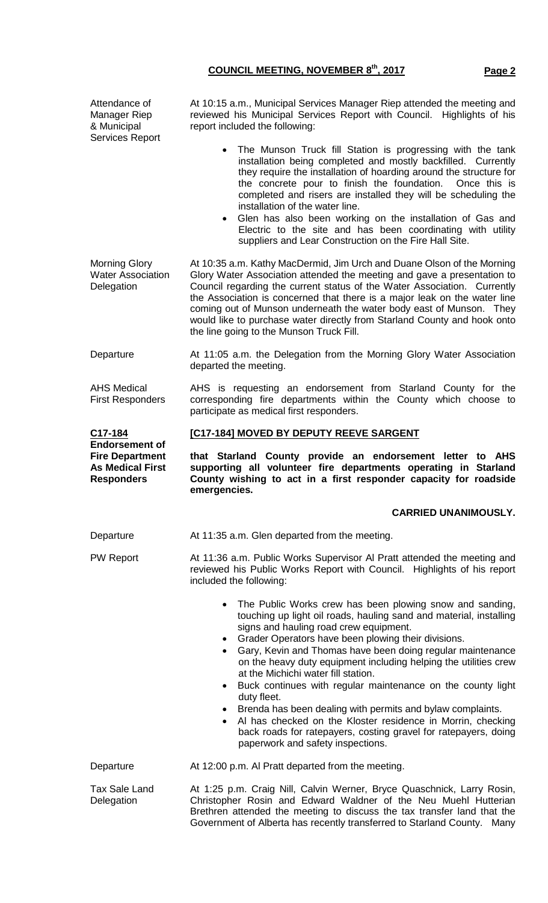Attendance of Manager Riep & Municipal Services Report At 10:15 a.m., Municipal Services Manager Riep attended the meeting and reviewed his Municipal Services Report with Council. Highlights of his report included the following: The Munson Truck fill Station is progressing with the tank installation being completed and mostly backfilled. Currently they require the installation of hoarding around the structure for the concrete pour to finish the foundation. Once this is completed and risers are installed they will be scheduling the installation of the water line. Glen has also been working on the installation of Gas and Electric to the site and has been coordinating with utility suppliers and Lear Construction on the Fire Hall Site. Morning Glory Water Association **Delegation** At 10:35 a.m. Kathy MacDermid, Jim Urch and Duane Olson of the Morning Glory Water Association attended the meeting and gave a presentation to Council regarding the current status of the Water Association. Currently the Association is concerned that there is a major leak on the water line coming out of Munson underneath the water body east of Munson. They would like to purchase water directly from Starland County and hook onto the line going to the Munson Truck Fill. Departure **At 11:05 a.m. the Delegation from the Morning Glory Water Association** departed the meeting. AHS Medical First Responders AHS is requesting an endorsement from Starland County for the corresponding fire departments within the County which choose to participate as medical first responders. **C17-184 Endorsement of Fire Department As Medical First Responders [C17-184] MOVED BY DEPUTY REEVE SARGENT that Starland County provide an endorsement letter to AHS supporting all volunteer fire departments operating in Starland County wishing to act in a first responder capacity for roadside emergencies. CARRIED UNANIMOUSLY.** Departure **At 11:35 a.m. Glen departed from the meeting.** PW Report **At 11:36 a.m. Public Works Supervisor AI Pratt attended the meeting and** reviewed his Public Works Report with Council. Highlights of his report included the following: The Public Works crew has been plowing snow and sanding, touching up light oil roads, hauling sand and material, installing signs and hauling road crew equipment. • Grader Operators have been plowing their divisions. • Gary, Kevin and Thomas have been doing regular maintenance on the heavy duty equipment including helping the utilities crew at the Michichi water fill station. Buck continues with regular maintenance on the county light duty fleet. • Brenda has been dealing with permits and bylaw complaints. Al has checked on the Kloster residence in Morrin, checking back roads for ratepayers, costing gravel for ratepayers, doing paperwork and safety inspections. Departure **At 12:00 p.m. Al Pratt departed from the meeting.** Tax Sale Land Delegation At 1:25 p.m. Craig Nill, Calvin Werner, Bryce Quaschnick, Larry Rosin, Christopher Rosin and Edward Waldner of the Neu Muehl Hutterian Brethren attended the meeting to discuss the tax transfer land that the

Government of Alberta has recently transferred to Starland County. Many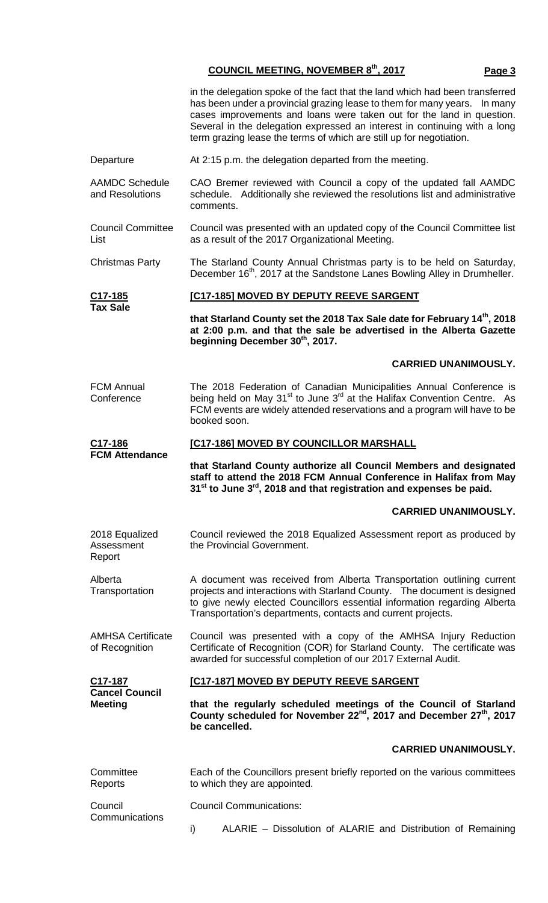|                                            | in the delegation spoke of the fact that the land which had been transferred<br>has been under a provincial grazing lease to them for many years.  In many<br>cases improvements and loans were taken out for the land in question.<br>Several in the delegation expressed an interest in continuing with a long<br>term grazing lease the terms of which are still up for negotiation. |  |  |  |
|--------------------------------------------|-----------------------------------------------------------------------------------------------------------------------------------------------------------------------------------------------------------------------------------------------------------------------------------------------------------------------------------------------------------------------------------------|--|--|--|
| Departure                                  | At 2:15 p.m. the delegation departed from the meeting.                                                                                                                                                                                                                                                                                                                                  |  |  |  |
| <b>AAMDC Schedule</b><br>and Resolutions   | CAO Bremer reviewed with Council a copy of the updated fall AAMDC<br>schedule. Additionally she reviewed the resolutions list and administrative<br>comments.                                                                                                                                                                                                                           |  |  |  |
| <b>Council Committee</b><br>List           | Council was presented with an updated copy of the Council Committee list<br>as a result of the 2017 Organizational Meeting.                                                                                                                                                                                                                                                             |  |  |  |
| <b>Christmas Party</b>                     | The Starland County Annual Christmas party is to be held on Saturday,<br>December 16 <sup>th</sup> , 2017 at the Sandstone Lanes Bowling Alley in Drumheller.                                                                                                                                                                                                                           |  |  |  |
| <u>C17-185</u><br><b>Tax Sale</b>          | [C17-185] MOVED BY DEPUTY REEVE SARGENT                                                                                                                                                                                                                                                                                                                                                 |  |  |  |
|                                            | that Starland County set the 2018 Tax Sale date for February 14th, 2018<br>at 2:00 p.m. and that the sale be advertised in the Alberta Gazette<br>beginning December 30th, 2017.                                                                                                                                                                                                        |  |  |  |
|                                            | <b>CARRIED UNANIMOUSLY.</b>                                                                                                                                                                                                                                                                                                                                                             |  |  |  |
| <b>FCM Annual</b><br>Conference            | The 2018 Federation of Canadian Municipalities Annual Conference is<br>being held on May 31 <sup>st</sup> to June 3 <sup>rd</sup> at the Halifax Convention Centre. As<br>FCM events are widely attended reservations and a program will have to be<br>booked soon.                                                                                                                     |  |  |  |
| C17-186<br><b>FCM Attendance</b>           | [C17-186] MOVED BY COUNCILLOR MARSHALL                                                                                                                                                                                                                                                                                                                                                  |  |  |  |
|                                            | that Starland County authorize all Council Members and designated<br>staff to attend the 2018 FCM Annual Conference in Halifax from May<br>$31st$ to June $3rd$ , 2018 and that registration and expenses be paid.                                                                                                                                                                      |  |  |  |
|                                            | <b>CARRIED UNANIMOUSLY.</b>                                                                                                                                                                                                                                                                                                                                                             |  |  |  |
| 2018 Equalized<br>Assessment<br>Report     | Council reviewed the 2018 Equalized Assessment report as produced by<br>the Provincial Government.                                                                                                                                                                                                                                                                                      |  |  |  |
| Alberta<br>Transportation                  | A document was received from Alberta Transportation outlining current<br>projects and interactions with Starland County.  The document is designed<br>to give newly elected Councillors essential information regarding Alberta<br>Transportation's departments, contacts and current projects.                                                                                         |  |  |  |
| <b>AMHSA Certificate</b><br>of Recognition | Council was presented with a copy of the AMHSA Injury Reduction<br>Certificate of Recognition (COR) for Starland County. The certificate was<br>awarded for successful completion of our 2017 External Audit.                                                                                                                                                                           |  |  |  |
| <u>C17-187</u>                             | [C17-187] MOVED BY DEPUTY REEVE SARGENT                                                                                                                                                                                                                                                                                                                                                 |  |  |  |
| <b>Cancel Council</b><br><b>Meeting</b>    |                                                                                                                                                                                                                                                                                                                                                                                         |  |  |  |
|                                            | that the regularly scheduled meetings of the Council of Starland<br>County scheduled for November 22 <sup>nd</sup> , 2017 and December 27 <sup>th</sup> , 2017<br>be cancelled.                                                                                                                                                                                                         |  |  |  |
|                                            | <b>CARRIED UNANIMOUSLY.</b>                                                                                                                                                                                                                                                                                                                                                             |  |  |  |
| Committee<br>Reports                       | Each of the Councillors present briefly reported on the various committees<br>to which they are appointed.                                                                                                                                                                                                                                                                              |  |  |  |
| Council<br>Communications                  | <b>Council Communications:</b>                                                                                                                                                                                                                                                                                                                                                          |  |  |  |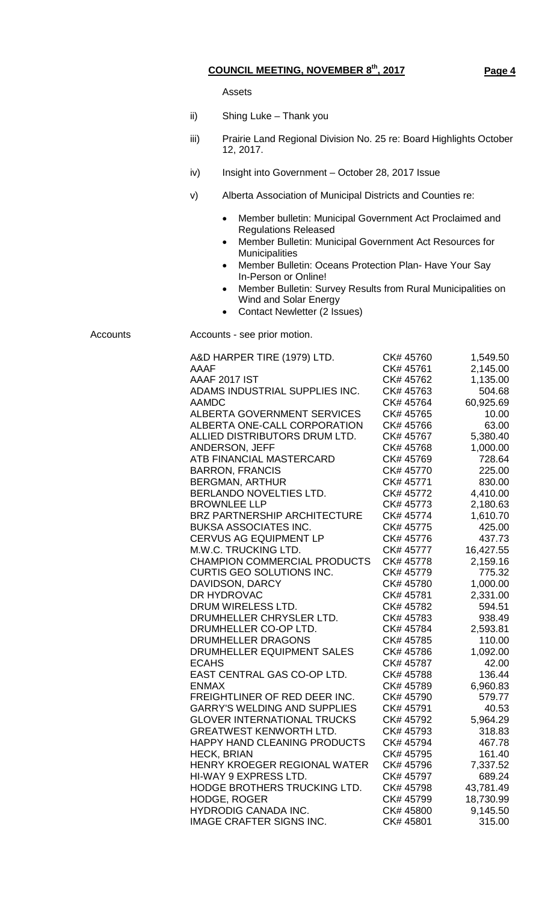Assets

- ii) Shing Luke Thank you
- iii) Prairie Land Regional Division No. 25 re: Board Highlights October 12, 2017.
- iv) Insight into Government October 28, 2017 Issue
- v) Alberta Association of Municipal Districts and Counties re:
	- Member bulletin: Municipal Government Act Proclaimed and Regulations Released
	- Member Bulletin: Municipal Government Act Resources for Municipalities
	- Member Bulletin: Oceans Protection Plan- Have Your Say In-Person or Online!
	- Member Bulletin: Survey Results from Rural Municipalities on Wind and Solar Energy
	- Contact Newletter (2 Issues)

Accounts Accounts - see prior motion.

| A&D HARPER TIRE (1979) LTD.         | CK# 45760 | 1,549.50  |
|-------------------------------------|-----------|-----------|
| AAAF                                | CK# 45761 | 2,145.00  |
| AAAF 2017 IST                       | CK# 45762 | 1,135.00  |
| ADAMS INDUSTRIAL SUPPLIES INC.      | CK# 45763 | 504.68    |
| <b>AAMDC</b>                        | CK# 45764 | 60,925.69 |
| ALBERTA GOVERNMENT SERVICES         | CK# 45765 | 10.00     |
| ALBERTA ONE-CALL CORPORATION        | CK# 45766 | 63.00     |
| ALLIED DISTRIBUTORS DRUM LTD.       | CK# 45767 | 5,380.40  |
| ANDERSON, JEFF                      | CK# 45768 | 1,000.00  |
| ATB FINANCIAL MASTERCARD            | CK# 45769 | 728.64    |
| <b>BARRON, FRANCIS</b>              | CK# 45770 | 225.00    |
| <b>BERGMAN, ARTHUR</b>              | CK# 45771 | 830.00    |
| BERLANDO NOVELTIES LTD.             | CK# 45772 | 4,410.00  |
| <b>BROWNLEE LLP</b>                 | CK# 45773 | 2,180.63  |
| <b>BRZ PARTNERSHIP ARCHITECTURE</b> | CK# 45774 | 1,610.70  |
| <b>BUKSA ASSOCIATES INC.</b>        | CK# 45775 | 425.00    |
| <b>CERVUS AG EQUIPMENT LP</b>       | CK# 45776 | 437.73    |
| M.W.C. TRUCKING LTD.                | CK# 45777 | 16,427.55 |
| <b>CHAMPION COMMERCIAL PRODUCTS</b> | CK# 45778 | 2,159.16  |
| <b>CURTIS GEO SOLUTIONS INC.</b>    | CK# 45779 | 775.32    |
| DAVIDSON, DARCY                     | CK# 45780 | 1,000.00  |
| DR HYDROVAC                         | CK# 45781 | 2,331.00  |
| DRUM WIRELESS LTD.                  | CK# 45782 | 594.51    |
| DRUMHELLER CHRYSLER LTD.            | CK# 45783 | 938.49    |
| DRUMHELLER CO-OP LTD.               | CK# 45784 | 2,593.81  |
| DRUMHELLER DRAGONS                  | CK# 45785 | 110.00    |
| DRUMHELLER EQUIPMENT SALES          | CK# 45786 | 1,092.00  |
| <b>ECAHS</b>                        | CK# 45787 | 42.00     |
| EAST CENTRAL GAS CO-OP LTD.         | CK# 45788 | 136.44    |
| <b>ENMAX</b>                        | CK# 45789 | 6,960.83  |
| FREIGHTLINER OF RED DEER INC.       | CK# 45790 | 579.77    |
| <b>GARRY'S WELDING AND SUPPLIES</b> | CK# 45791 | 40.53     |
| <b>GLOVER INTERNATIONAL TRUCKS</b>  | CK# 45792 | 5,964.29  |
| <b>GREATWEST KENWORTH LTD.</b>      | CK# 45793 | 318.83    |
| HAPPY HAND CLEANING PRODUCTS        | CK# 45794 | 467.78    |
| <b>HECK, BRIAN</b>                  | CK# 45795 | 161.40    |
| HENRY KROEGER REGIONAL WATER        | CK# 45796 | 7,337.52  |
| HI-WAY 9 EXPRESS LTD.               | CK# 45797 | 689.24    |
| HODGE BROTHERS TRUCKING LTD.        | CK# 45798 | 43,781.49 |
| <b>HODGE, ROGER</b>                 | CK# 45799 | 18,730.99 |
| <b>HYDRODIG CANADA INC.</b>         | CK# 45800 | 9,145.50  |
| <b>IMAGE CRAFTER SIGNS INC.</b>     | CK# 45801 | 315.00    |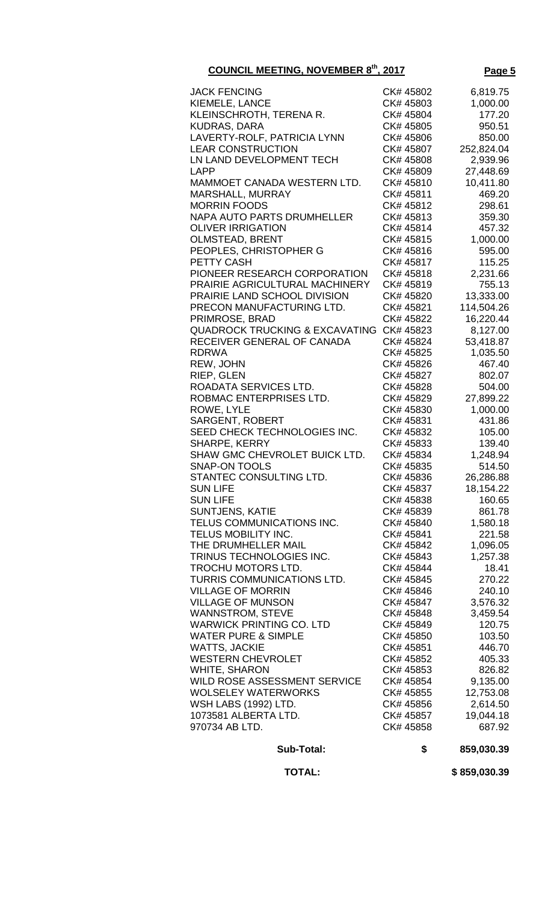| Sub-Total:                                       | \$                     | 859,030.39 |
|--------------------------------------------------|------------------------|------------|
| 970734 AB LTD.                                   | CK# 45858              | 687.92     |
| 1073581 ALBERTA LTD.                             | CK# 45857              | 19,044.18  |
| <b>WSH LABS (1992) LTD.</b>                      | CK# 45856              | 2,614.50   |
| <b>WOLSELEY WATERWORKS</b>                       | CK# 45855              | 12,753.08  |
| WILD ROSE ASSESSMENT SERVICE                     | CK# 45854              | 9,135.00   |
| <b>WHITE, SHARON</b>                             |                        | 826.82     |
|                                                  | CK# 45853              | 405.33     |
| <b>WATTS, JACKIE</b><br><b>WESTERN CHEVROLET</b> | CK# 45852              | 446.70     |
| <b>WATER PURE &amp; SIMPLE</b>                   | CK# 45850<br>CK# 45851 | 103.50     |
|                                                  | CK# 45849              | 120.75     |
| <b>WARWICK PRINTING CO. LTD</b>                  |                        | 3,459.54   |
| <b>WANNSTROM, STEVE</b>                          | CK# 45848              |            |
| <b>VILLAGE OF MUNSON</b>                         | CK# 45847              | 3,576.32   |
| <b>VILLAGE OF MORRIN</b>                         | CK# 45846              | 240.10     |
| TURRIS COMMUNICATIONS LTD.                       | CK# 45845              | 270.22     |
| TROCHU MOTORS LTD.                               | CK# 45844              | 18.41      |
| TRINUS TECHNOLOGIES INC.                         | CK# 45843              | 1,257.38   |
| THE DRUMHELLER MAIL                              | CK# 45842              | 1,096.05   |
| TELUS MOBILITY INC.                              | CK# 45841              | 221.58     |
| TELUS COMMUNICATIONS INC.                        | CK# 45840              | 1,580.18   |
| <b>SUNTJENS, KATIE</b>                           | CK# 45839              | 861.78     |
| <b>SUN LIFE</b>                                  | CK# 45838              | 160.65     |
| <b>SUN LIFE</b>                                  | CK# 45837              | 18,154.22  |
| STANTEC CONSULTING LTD.                          | CK# 45836              | 26,286.88  |
| <b>SNAP-ON TOOLS</b>                             | CK# 45835              | 514.50     |
| SHAW GMC CHEVROLET BUICK LTD.                    | CK# 45834              | 1,248.94   |
| SHARPE, KERRY                                    | CK# 45833              | 139.40     |
| SEED CHECK TECHNOLOGIES INC.                     | CK# 45832              | 105.00     |
| <b>SARGENT, ROBERT</b>                           | CK# 45831              | 431.86     |
| ROWE, LYLE                                       | CK# 45830              | 1,000.00   |
| ROBMAC ENTERPRISES LTD.                          | CK# 45829              | 27,899.22  |
| ROADATA SERVICES LTD.                            | CK# 45828              | 504.00     |
|                                                  |                        |            |
| RIEP, GLEN                                       | CK# 45827              | 802.07     |
| REW, JOHN                                        | CK# 45826              | 467.40     |
| <b>RDRWA</b>                                     | CK# 45825              | 1,035.50   |
| RECEIVER GENERAL OF CANADA                       | CK# 45824              | 53,418.87  |
| <b>QUADROCK TRUCKING &amp; EXCAVATING</b>        | CK# 45823              | 8,127.00   |
| PRIMROSE, BRAD                                   | CK# 45822              | 16,220.44  |
| PRECON MANUFACTURING LTD.                        | CK# 45821              | 114,504.26 |
| PRAIRIE LAND SCHOOL DIVISION                     | CK# 45820              | 13,333.00  |
| PRAIRIE AGRICULTURAL MACHINERY                   | CK# 45819              | 755.13     |
| PIONEER RESEARCH CORPORATION                     | CK# 45818              | 2,231.66   |
| PETTY CASH                                       | CK# 45817              | 115.25     |
| PEOPLES, CHRISTOPHER G                           | CK# 45816              | 595.00     |
| <b>OLMSTEAD, BRENT</b>                           | CK# 45815              | 1,000.00   |
| <b>OLIVER IRRIGATION</b>                         | CK# 45814              | 457.32     |
| <b>NAPA AUTO PARTS DRUMHELLER</b>                | CK# 45813              | 359.30     |
| <b>MORRIN FOODS</b>                              | CK# 45812              | 298.61     |
| MARSHALL, MURRAY                                 | CK# 45811              | 469.20     |
| MAMMOET CANADA WESTERN LTD.                      | CK# 45810              | 10,411.80  |
| <b>LAPP</b>                                      | CK# 45809              | 27,448.69  |
| LN LAND DEVELOPMENT TECH                         | CK# 45808              | 2,939.96   |
| <b>LEAR CONSTRUCTION</b>                         | CK# 45807              | 252,824.04 |
| LAVERTY-ROLF, PATRICIA LYNN                      | CK# 45806              | 850.00     |
| <b>KUDRAS, DARA</b>                              | CK# 45805              | 950.51     |
| KLEINSCHROTH, TERENA R.                          | CK# 45804              | 177.20     |
| KIEMELE, LANCE                                   | CK# 45803              | 1,000.00   |
| <b>JACK FENCING</b>                              | CK# 45802              | 6,819.75   |
|                                                  |                        |            |

 **TOTAL: \$ 859,030.39**